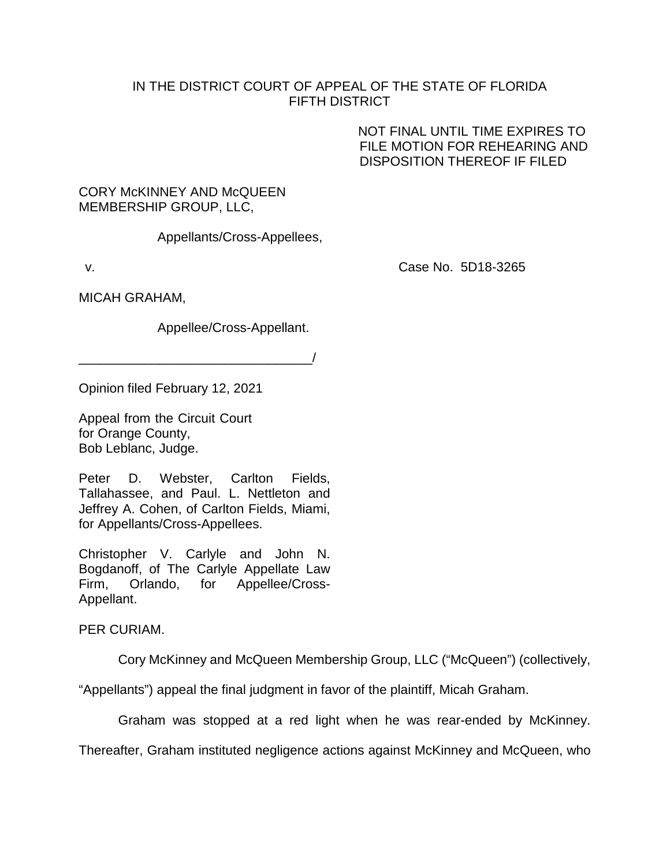## IN THE DISTRICT COURT OF APPEAL OF THE STATE OF FLORIDA FIFTH DISTRICT

NOT FINAL UNTIL TIME EXPIRES TO FILE MOTION FOR REHEARING AND DISPOSITION THEREOF IF FILED

## CORY McKINNEY AND McQUEEN MEMBERSHIP GROUP, LLC,

Appellants/Cross-Appellees,

v. Case No. 5D18-3265

MICAH GRAHAM,

Appellee/Cross-Appellant.

 $\overline{\phantom{a}}$ 

Opinion filed February 12, 2021

Appeal from the Circuit Court for Orange County, Bob Leblanc, Judge.

Peter D. Webster, Carlton Fields, Tallahassee, and Paul. L. Nettleton and Jeffrey A. Cohen, of Carlton Fields, Miami, for Appellants/Cross-Appellees.

Christopher V. Carlyle and John N. Bogdanoff, of The Carlyle Appellate Law Firm, Orlando, for Appellee/Cross-Appellant.

PER CURIAM.

Cory McKinney and McQueen Membership Group, LLC ("McQueen") (collectively,

"Appellants") appeal the final judgment in favor of the plaintiff, Micah Graham.

Graham was stopped at a red light when he was rear-ended by McKinney.

Thereafter, Graham instituted negligence actions against McKinney and McQueen, who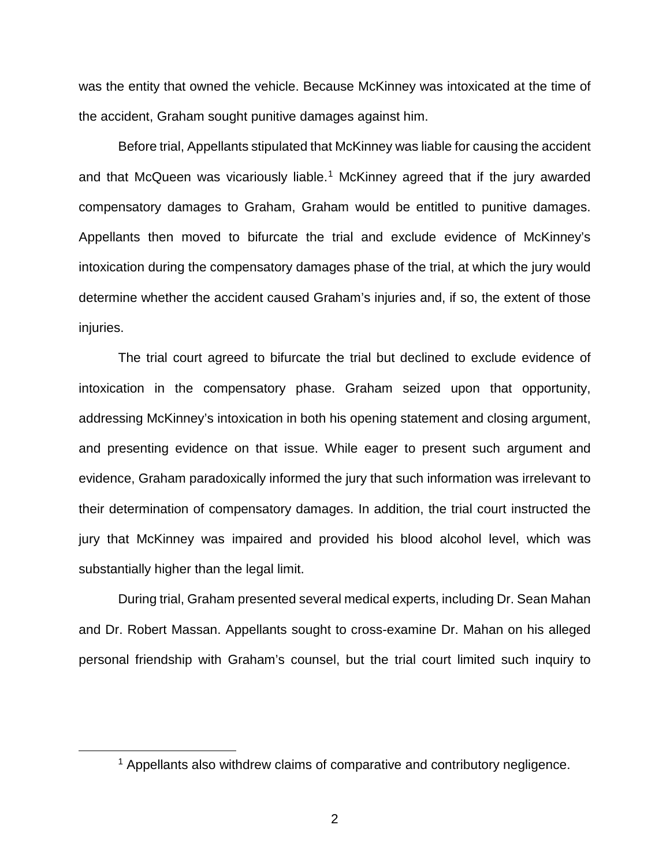was the entity that owned the vehicle. Because McKinney was intoxicated at the time of the accident, Graham sought punitive damages against him.

Before trial, Appellants stipulated that McKinney was liable for causing the accident and that McQueen was vicariously liable.<sup>[1](#page-1-0)</sup> McKinney agreed that if the jury awarded compensatory damages to Graham, Graham would be entitled to punitive damages. Appellants then moved to bifurcate the trial and exclude evidence of McKinney's intoxication during the compensatory damages phase of the trial, at which the jury would determine whether the accident caused Graham's injuries and, if so, the extent of those injuries.

The trial court agreed to bifurcate the trial but declined to exclude evidence of intoxication in the compensatory phase. Graham seized upon that opportunity, addressing McKinney's intoxication in both his opening statement and closing argument, and presenting evidence on that issue. While eager to present such argument and evidence, Graham paradoxically informed the jury that such information was irrelevant to their determination of compensatory damages. In addition, the trial court instructed the jury that McKinney was impaired and provided his blood alcohol level, which was substantially higher than the legal limit.

During trial, Graham presented several medical experts, including Dr. Sean Mahan and Dr. Robert Massan. Appellants sought to cross-examine Dr. Mahan on his alleged personal friendship with Graham's counsel, but the trial court limited such inquiry to

<span id="page-1-0"></span><sup>&</sup>lt;sup>1</sup> Appellants also withdrew claims of comparative and contributory negligence.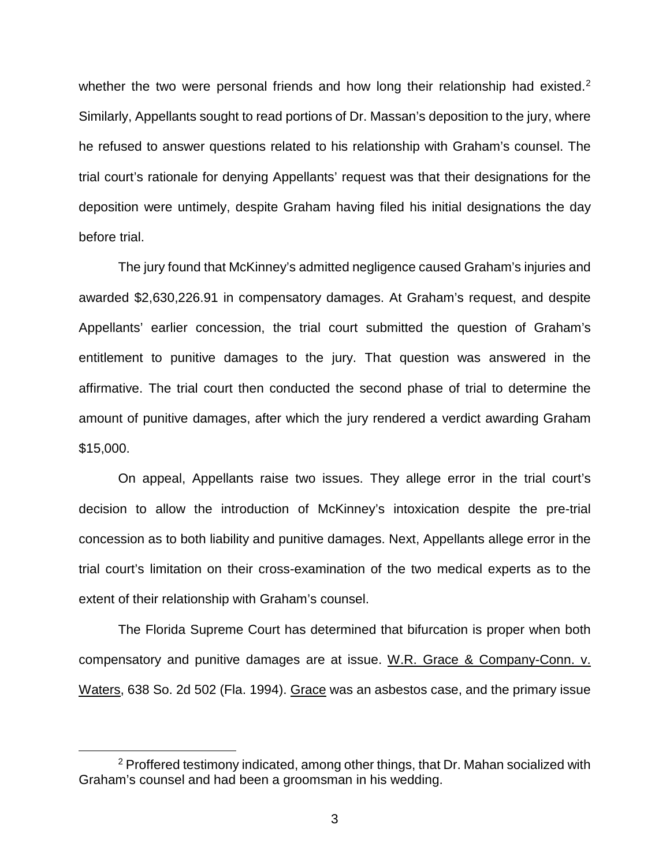whether the two were personal friends and how long their relationship had existed.<sup>[2](#page-2-0)</sup> Similarly, Appellants sought to read portions of Dr. Massan's deposition to the jury, where he refused to answer questions related to his relationship with Graham's counsel. The trial court's rationale for denying Appellants' request was that their designations for the deposition were untimely, despite Graham having filed his initial designations the day before trial.

The jury found that McKinney's admitted negligence caused Graham's injuries and awarded \$2,630,226.91 in compensatory damages. At Graham's request, and despite Appellants' earlier concession, the trial court submitted the question of Graham's entitlement to punitive damages to the jury. That question was answered in the affirmative. The trial court then conducted the second phase of trial to determine the amount of punitive damages, after which the jury rendered a verdict awarding Graham \$15,000.

On appeal, Appellants raise two issues. They allege error in the trial court's decision to allow the introduction of McKinney's intoxication despite the pre-trial concession as to both liability and punitive damages. Next, Appellants allege error in the trial court's limitation on their cross-examination of the two medical experts as to the extent of their relationship with Graham's counsel.

The Florida Supreme Court has determined that bifurcation is proper when both compensatory and punitive damages are at issue. W.R. Grace & Company-Conn. v. Waters, 638 So. 2d 502 (Fla. 1994). Grace was an asbestos case, and the primary issue

<span id="page-2-0"></span><sup>&</sup>lt;sup>2</sup> Proffered testimony indicated, among other things, that Dr. Mahan socialized with Graham's counsel and had been a groomsman in his wedding.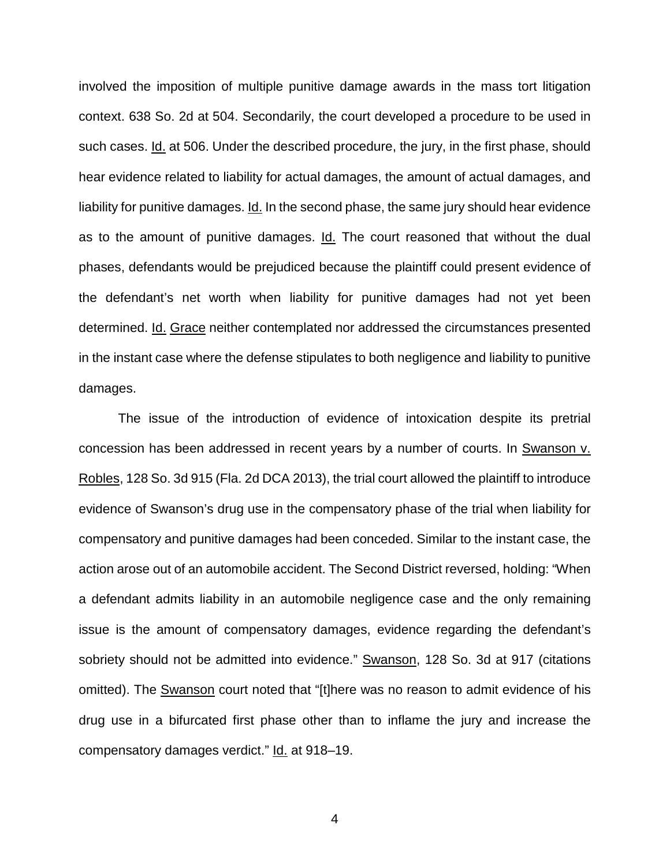involved the imposition of multiple punitive damage awards in the mass tort litigation context. 638 So. 2d at 504. Secondarily, the court developed a procedure to be used in such cases. Id. at 506. Under the described procedure, the jury, in the first phase, should hear evidence related to liability for actual damages, the amount of actual damages, and liability for punitive damages. Id. In the second phase, the same jury should hear evidence as to the amount of punitive damages. Id. The court reasoned that without the dual phases, defendants would be prejudiced because the plaintiff could present evidence of the defendant's net worth when liability for punitive damages had not yet been determined. Id. Grace neither contemplated nor addressed the circumstances presented in the instant case where the defense stipulates to both negligence and liability to punitive damages.

The issue of the introduction of evidence of intoxication despite its pretrial concession has been addressed in recent years by a number of courts. In Swanson v. Robles, 128 So. 3d 915 (Fla. 2d DCA 2013), the trial court allowed the plaintiff to introduce evidence of Swanson's drug use in the compensatory phase of the trial when liability for compensatory and punitive damages had been conceded. Similar to the instant case, the action arose out of an automobile accident. The Second District reversed, holding: "When a defendant admits liability in an automobile negligence case and the only remaining issue is the amount of compensatory damages, evidence regarding the defendant's sobriety should not be admitted into evidence." Swanson, 128 So. 3d at 917 (citations omitted). The Swanson court noted that "[t]here was no reason to admit evidence of his drug use in a bifurcated first phase other than to inflame the jury and increase the compensatory damages verdict." Id. at 918–19.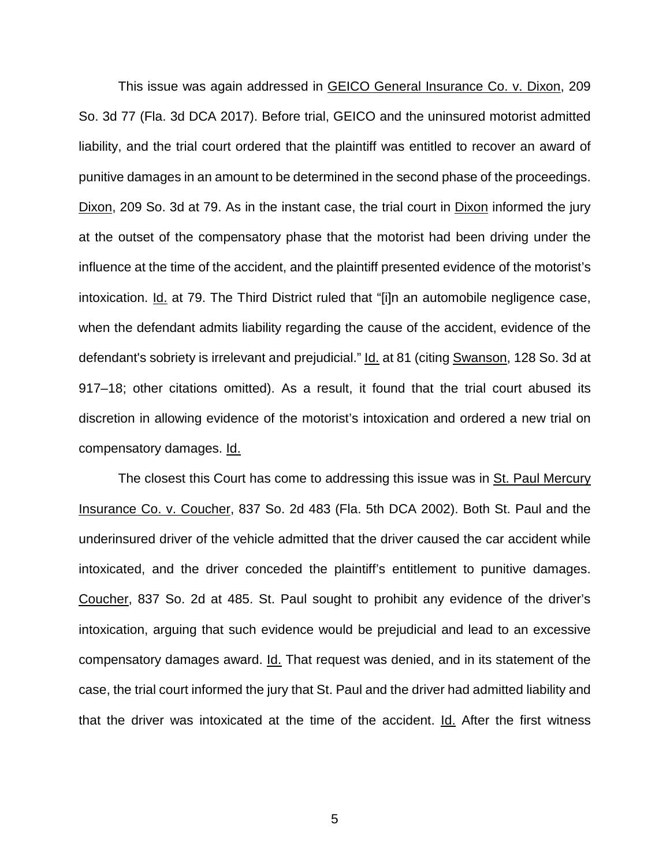This issue was again addressed in GEICO General Insurance Co. v. Dixon, 209 So. 3d 77 (Fla. 3d DCA 2017). Before trial, GEICO and the uninsured motorist admitted liability, and the trial court ordered that the plaintiff was entitled to recover an award of punitive damages in an amount to be determined in the second phase of the proceedings. Dixon, 209 So. 3d at 79. As in the instant case, the trial court in Dixon informed the jury at the outset of the compensatory phase that the motorist had been driving under the influence at the time of the accident, and the plaintiff presented evidence of the motorist's intoxication. Id. at 79. The Third District ruled that "[i]n an automobile negligence case, when the defendant admits liability regarding the cause of the accident, evidence of the defendant's sobriety is irrelevant and prejudicial." Id. at 81 (citing Swanson, 128 So. 3d at 917–18; other citations omitted). As a result, it found that the trial court abused its discretion in allowing evidence of the motorist's intoxication and ordered a new trial on compensatory damages. Id.

The closest this Court has come to addressing this issue was in St. Paul Mercury Insurance Co. v. Coucher, 837 So. 2d 483 (Fla. 5th DCA 2002). Both St. Paul and the underinsured driver of the vehicle admitted that the driver caused the car accident while intoxicated, and the driver conceded the plaintiff's entitlement to punitive damages. Coucher, 837 So. 2d at 485. St. Paul sought to prohibit any evidence of the driver's intoxication, arguing that such evidence would be prejudicial and lead to an excessive compensatory damages award. Id. That request was denied, and in its statement of the case, the trial court informed the jury that St. Paul and the driver had admitted liability and that the driver was intoxicated at the time of the accident. Id. After the first witness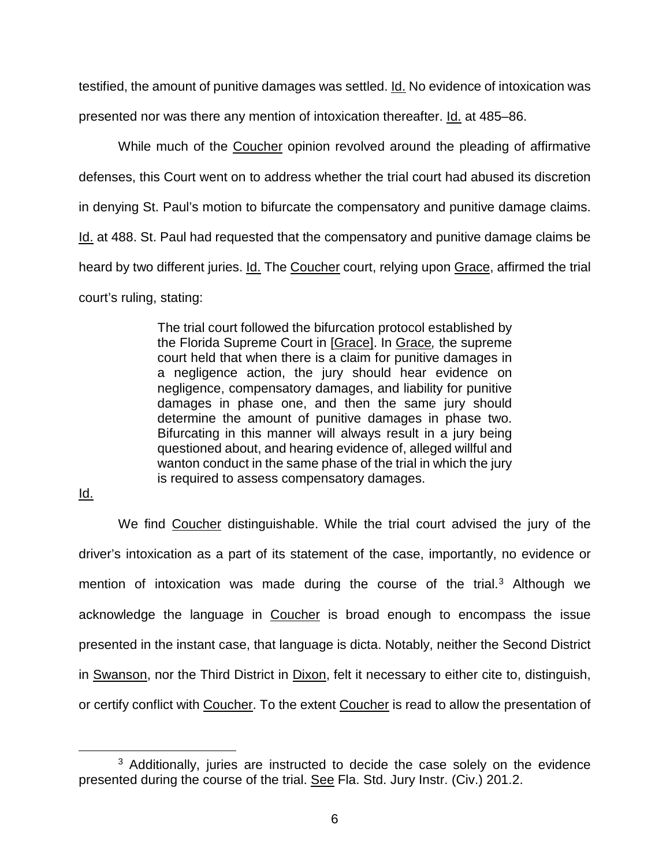testified, the amount of punitive damages was settled. Id. No evidence of intoxication was presented nor was there any mention of intoxication thereafter. Id. at 485–86.

While much of the Coucher opinion revolved around the pleading of affirmative defenses, this Court went on to address whether the trial court had abused its discretion in denying St. Paul's motion to bifurcate the compensatory and punitive damage claims. Id. at 488. St. Paul had requested that the compensatory and punitive damage claims be heard by two different juries. Id. The Coucher court, relying upon Grace, affirmed the trial court's ruling, stating:

> The trial court followed the bifurcation protocol established by the Florida Supreme Court in [Grace]. In Grace*,* the supreme court held that when there is a claim for punitive damages in a negligence action, the jury should hear evidence on negligence, compensatory damages, and liability for punitive damages in phase one, and then the same jury should determine the amount of punitive damages in phase two. Bifurcating in this manner will always result in a jury being questioned about, and hearing evidence of, alleged willful and wanton conduct in the same phase of the trial in which the jury is required to assess compensatory damages.

Id.

We find Coucher distinguishable. While the trial court advised the jury of the driver's intoxication as a part of its statement of the case, importantly, no evidence or mention of intoxication was made during the course of the trial.<sup>[3](#page-5-0)</sup> Although we acknowledge the language in Coucher is broad enough to encompass the issue presented in the instant case, that language is dicta. Notably, neither the Second District in Swanson, nor the Third District in Dixon, felt it necessary to either cite to, distinguish, or certify conflict with Coucher. To the extent Coucher is read to allow the presentation of

<span id="page-5-0"></span><sup>&</sup>lt;sup>3</sup> Additionally, juries are instructed to decide the case solely on the evidence presented during the course of the trial. See Fla. Std. Jury Instr. (Civ.) 201.2.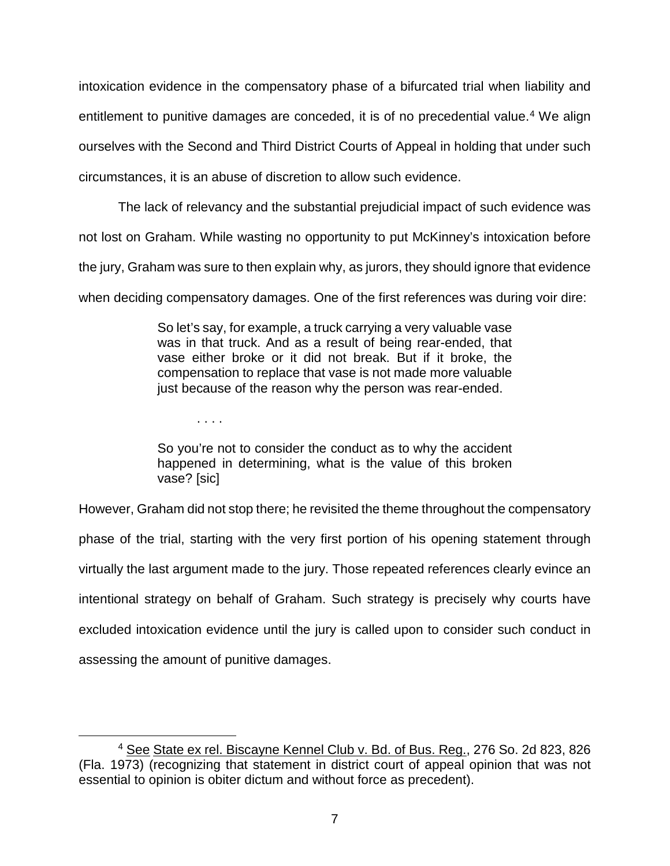intoxication evidence in the compensatory phase of a bifurcated trial when liability and entitlement to punitive damages are conceded, it is of no precedential value.<sup>[4](#page-6-0)</sup> We align ourselves with the Second and Third District Courts of Appeal in holding that under such circumstances, it is an abuse of discretion to allow such evidence.

The lack of relevancy and the substantial prejudicial impact of such evidence was not lost on Graham. While wasting no opportunity to put McKinney's intoxication before the jury, Graham was sure to then explain why, as jurors, they should ignore that evidence when deciding compensatory damages. One of the first references was during voir dire:

> So let's say, for example, a truck carrying a very valuable vase was in that truck. And as a result of being rear-ended, that vase either broke or it did not break. But if it broke, the compensation to replace that vase is not made more valuable just because of the reason why the person was rear-ended.

> So you're not to consider the conduct as to why the accident happened in determining, what is the value of this broken vase? [sic]

. . . .

However, Graham did not stop there; he revisited the theme throughout the compensatory phase of the trial, starting with the very first portion of his opening statement through virtually the last argument made to the jury. Those repeated references clearly evince an intentional strategy on behalf of Graham. Such strategy is precisely why courts have excluded intoxication evidence until the jury is called upon to consider such conduct in assessing the amount of punitive damages.

<span id="page-6-0"></span><sup>&</sup>lt;sup>4</sup> See State ex rel. Biscayne Kennel Club v. Bd. of Bus. Reg., 276 So. 2d 823, 826 (Fla. 1973) (recognizing that statement in district court of appeal opinion that was not essential to opinion is obiter dictum and without force as precedent).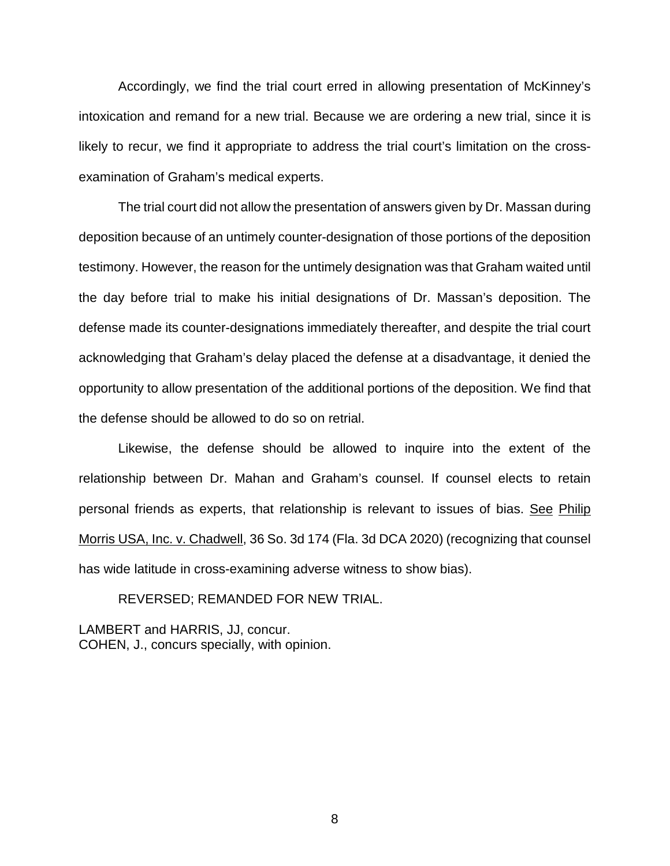Accordingly, we find the trial court erred in allowing presentation of McKinney's intoxication and remand for a new trial. Because we are ordering a new trial, since it is likely to recur, we find it appropriate to address the trial court's limitation on the crossexamination of Graham's medical experts.

The trial court did not allow the presentation of answers given by Dr. Massan during deposition because of an untimely counter-designation of those portions of the deposition testimony. However, the reason for the untimely designation was that Graham waited until the day before trial to make his initial designations of Dr. Massan's deposition. The defense made its counter-designations immediately thereafter, and despite the trial court acknowledging that Graham's delay placed the defense at a disadvantage, it denied the opportunity to allow presentation of the additional portions of the deposition. We find that the defense should be allowed to do so on retrial.

Likewise, the defense should be allowed to inquire into the extent of the relationship between Dr. Mahan and Graham's counsel. If counsel elects to retain personal friends as experts, that relationship is relevant to issues of bias. See Philip Morris USA, Inc. v. Chadwell, 36 So. 3d 174 (Fla. 3d DCA 2020) (recognizing that counsel has wide latitude in cross-examining adverse witness to show bias).

REVERSED; REMANDED FOR NEW TRIAL.

LAMBERT and HARRIS, JJ, concur. COHEN, J., concurs specially, with opinion.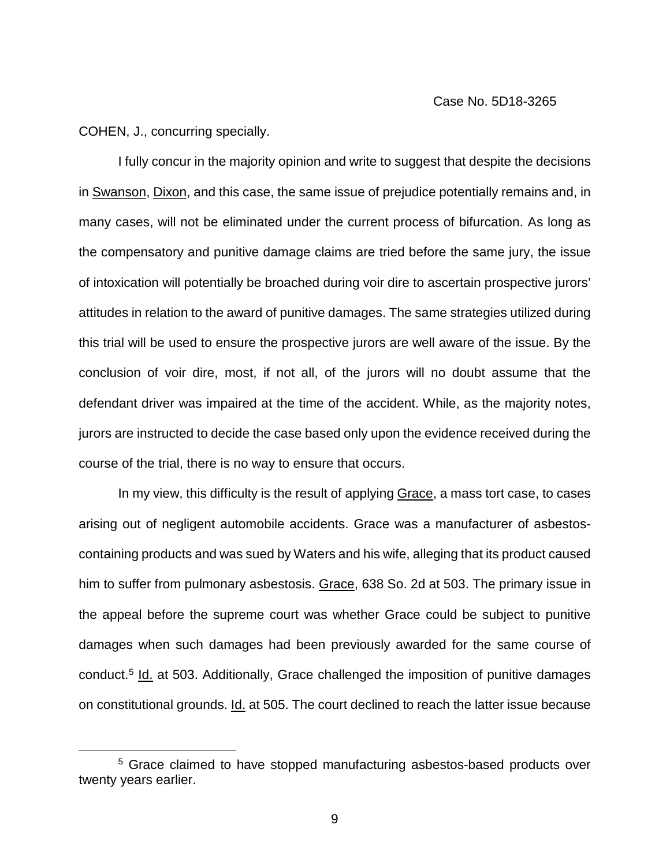COHEN, J., concurring specially.

I fully concur in the majority opinion and write to suggest that despite the decisions in Swanson, Dixon, and this case, the same issue of prejudice potentially remains and, in many cases, will not be eliminated under the current process of bifurcation. As long as the compensatory and punitive damage claims are tried before the same jury, the issue of intoxication will potentially be broached during voir dire to ascertain prospective jurors' attitudes in relation to the award of punitive damages. The same strategies utilized during this trial will be used to ensure the prospective jurors are well aware of the issue. By the conclusion of voir dire, most, if not all, of the jurors will no doubt assume that the defendant driver was impaired at the time of the accident. While, as the majority notes, jurors are instructed to decide the case based only upon the evidence received during the course of the trial, there is no way to ensure that occurs.

In my view, this difficulty is the result of applying Grace, a mass tort case, to cases arising out of negligent automobile accidents. Grace was a manufacturer of asbestoscontaining products and was sued by Waters and his wife, alleging that its product caused him to suffer from pulmonary asbestosis. Grace, 638 So. 2d at 503. The primary issue in the appeal before the supreme court was whether Grace could be subject to punitive damages when such damages had been previously awarded for the same course of conduct.[5](#page-8-0) Id. at 503. Additionally, Grace challenged the imposition of punitive damages on constitutional grounds. Id. at 505. The court declined to reach the latter issue because

<span id="page-8-0"></span><sup>&</sup>lt;sup>5</sup> Grace claimed to have stopped manufacturing asbestos-based products over twenty years earlier.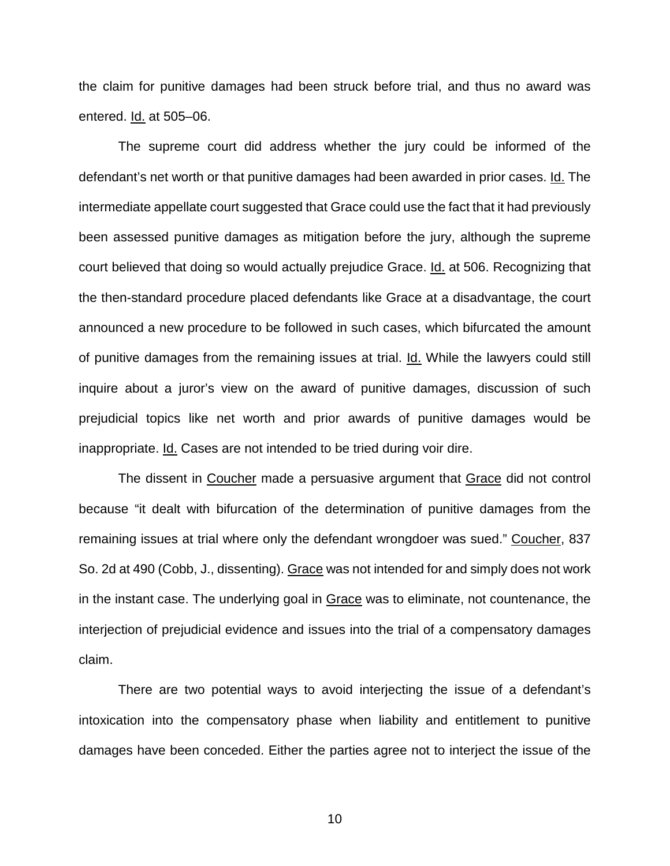the claim for punitive damages had been struck before trial, and thus no award was entered. Id. at 505–06.

The supreme court did address whether the jury could be informed of the defendant's net worth or that punitive damages had been awarded in prior cases. Id. The intermediate appellate court suggested that Grace could use the fact that it had previously been assessed punitive damages as mitigation before the jury, although the supreme court believed that doing so would actually prejudice Grace. Id. at 506. Recognizing that the then-standard procedure placed defendants like Grace at a disadvantage, the court announced a new procedure to be followed in such cases, which bifurcated the amount of punitive damages from the remaining issues at trial. Id. While the lawyers could still inquire about a juror's view on the award of punitive damages, discussion of such prejudicial topics like net worth and prior awards of punitive damages would be inappropriate. Id. Cases are not intended to be tried during voir dire.

The dissent in Coucher made a persuasive argument that Grace did not control because "it dealt with bifurcation of the determination of punitive damages from the remaining issues at trial where only the defendant wrongdoer was sued." Coucher, 837 So. 2d at 490 (Cobb, J., dissenting). Grace was not intended for and simply does not work in the instant case. The underlying goal in Grace was to eliminate, not countenance, the interjection of prejudicial evidence and issues into the trial of a compensatory damages claim.

There are two potential ways to avoid interjecting the issue of a defendant's intoxication into the compensatory phase when liability and entitlement to punitive damages have been conceded. Either the parties agree not to interject the issue of the